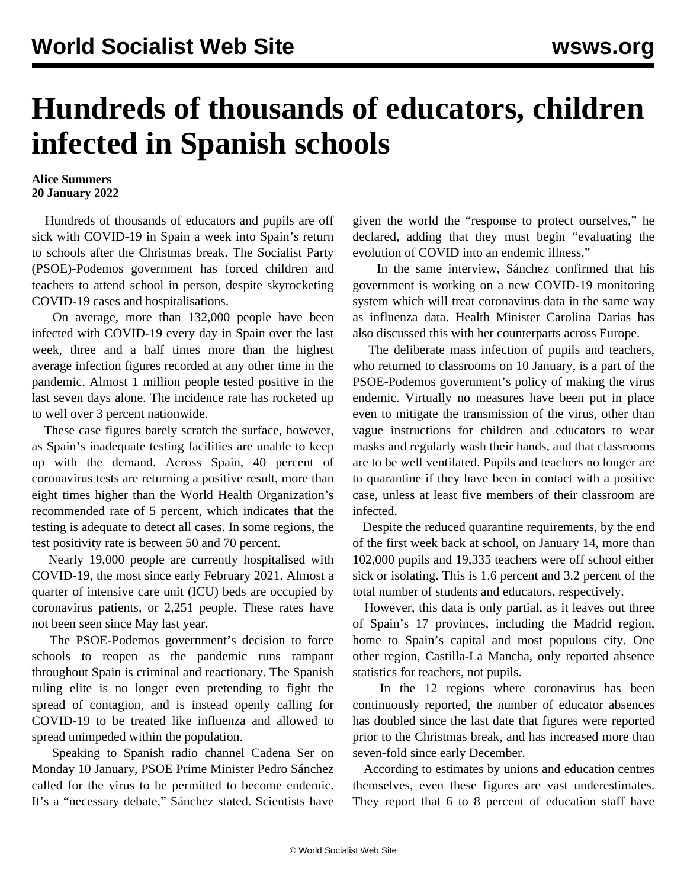## **Hundreds of thousands of educators, children infected in Spanish schools**

## **Alice Summers 20 January 2022**

 Hundreds of thousands of educators and pupils are off sick with COVID-19 in Spain a week into Spain's return to schools after the Christmas break. The Socialist Party (PSOE)-Podemos government has forced children and teachers to attend school in person, despite skyrocketing COVID-19 cases and hospitalisations.

 On average, more than 132,000 people have been infected with COVID-19 every day in Spain over the last week, three and a half times more than the highest average infection figures recorded at any other time in the pandemic. Almost 1 million people tested positive in the last seven days alone. The incidence rate has rocketed up to well over 3 percent nationwide.

 These case figures barely scratch the surface, however, as Spain's inadequate testing facilities are unable to keep up with the demand. Across Spain, 40 percent of coronavirus tests are returning a positive result, more than eight times higher than the World Health Organization's recommended rate of 5 percent, which indicates that the testing is adequate to detect all cases. In some regions, the test positivity rate is between 50 and 70 percent.

 Nearly 19,000 people are currently hospitalised with COVID-19, the most since early February 2021. Almost a quarter of intensive care unit (ICU) beds are occupied by coronavirus patients, or 2,251 people. These rates have not been seen since May last year.

 The PSOE-Podemos government's decision to force schools to reopen as the pandemic runs rampant throughout Spain is criminal and reactionary. The Spanish ruling elite is no longer even pretending to fight the spread of contagion, and is instead openly calling for COVID-19 to be treated like influenza and allowed to spread unimpeded within the population.

 Speaking to Spanish radio channel Cadena Ser on Monday 10 January, PSOE Prime Minister Pedro Sánchez called for the virus to be permitted to become endemic. It's a "necessary debate," Sánchez stated. Scientists have

given the world the "response to protect ourselves," he declared, adding that they must begin "evaluating the evolution of COVID into an endemic illness."

 In the same interview, Sánchez confirmed that his government is working on a new COVID-19 [monitoring](/en/articles/2022/01/17/spai-j17.html) [system](/en/articles/2022/01/17/spai-j17.html) which will treat coronavirus data in the same way as influenza data. Health Minister Carolina Darias has also discussed this with her counterparts across Europe.

 The deliberate mass infection of pupils and teachers, who returned to classrooms on 10 January, is a part of the PSOE-Podemos government's policy of making the virus endemic. Virtually no measures have been put in place even to mitigate the transmission of the virus, other than vague instructions for children and educators to wear masks and regularly wash their hands, and that classrooms are to be well ventilated. Pupils and teachers no longer are to quarantine if they have been in contact with a positive case, unless at least five members of their classroom are infected.

 Despite the reduced quarantine requirements, by the end of the first week back at school, on January 14, more than 102,000 pupils and 19,335 teachers were off school either sick or isolating. This is 1.6 percent and 3.2 percent of the total number of students and educators, respectively.

 However, this data is only partial, as it leaves out three of Spain's 17 provinces, including the Madrid region, home to Spain's capital and most populous city. One other region, Castilla-La Mancha, only reported absence statistics for teachers, not pupils.

 In the 12 regions where coronavirus has been continuously reported, the number of educator absences has doubled since the last date that figures were reported prior to the Christmas break, and has increased more than seven-fold since early December.

 According to estimates by unions and education centres themselves, even these figures are vast underestimates. They report that 6 to 8 percent of education staff have